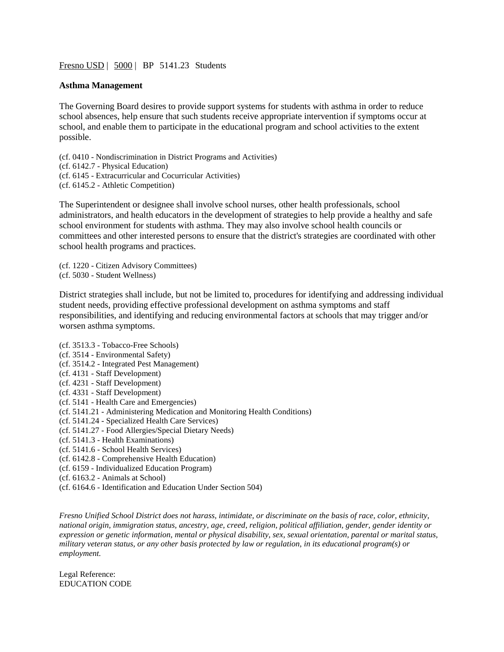[Fresno USD](http://www.fresnounified.org/board/policies/Policies/fusd/loaddistrictpolicy/1050.htm) | [5000](http://www.fresnounified.org/board/policies/Policies/fusd/policycategorylist/1050/1.htm) | BP 5141.23 Students

## **Asthma Management**

The Governing Board desires to provide support systems for students with asthma in order to reduce school absences, help ensure that such students receive appropriate intervention if symptoms occur at school, and enable them to participate in the educational program and school activities to the extent possible.

(cf. 0410 - Nondiscrimination in District Programs and Activities) (cf. 6142.7 - Physical Education) (cf. 6145 - Extracurricular and Cocurricular Activities) (cf. 6145.2 - Athletic Competition)

The Superintendent or designee shall involve school nurses, other health professionals, school administrators, and health educators in the development of strategies to help provide a healthy and safe school environment for students with asthma. They may also involve school health councils or committees and other interested persons to ensure that the district's strategies are coordinated with other school health programs and practices.

(cf. 1220 - Citizen Advisory Committees) (cf. 5030 - Student Wellness)

District strategies shall include, but not be limited to, procedures for identifying and addressing individual student needs, providing effective professional development on asthma symptoms and staff responsibilities, and identifying and reducing environmental factors at schools that may trigger and/or worsen asthma symptoms.

- (cf. 3513.3 Tobacco-Free Schools) (cf. 3514 - Environmental Safety) (cf. 3514.2 - Integrated Pest Management) (cf. 4131 - Staff Development) (cf. 4231 - Staff Development) (cf. 4331 - Staff Development) (cf. 5141 - Health Care and Emergencies) (cf. 5141.21 - Administering Medication and Monitoring Health Conditions) (cf. 5141.24 - Specialized Health Care Services) (cf. 5141.27 - Food Allergies/Special Dietary Needs) (cf. 5141.3 - Health Examinations) (cf. 5141.6 - School Health Services) (cf. 6142.8 - Comprehensive Health Education) (cf. 6159 - Individualized Education Program)
- (cf. 6163.2 Animals at School)
- (cf. 6164.6 Identification and Education Under Section 504)

*Fresno Unified School District does not harass, intimidate, or discriminate on the basis of race, color, ethnicity, national origin, immigration status, ancestry, age, creed, religion, political affiliation, gender, gender identity or expression or genetic information, mental or physical disability, sex, sexual orientation, parental or marital status, military veteran status, or any other basis protected by law or regulation, in its educational program(s) or employment.*

Legal Reference: EDUCATION CODE